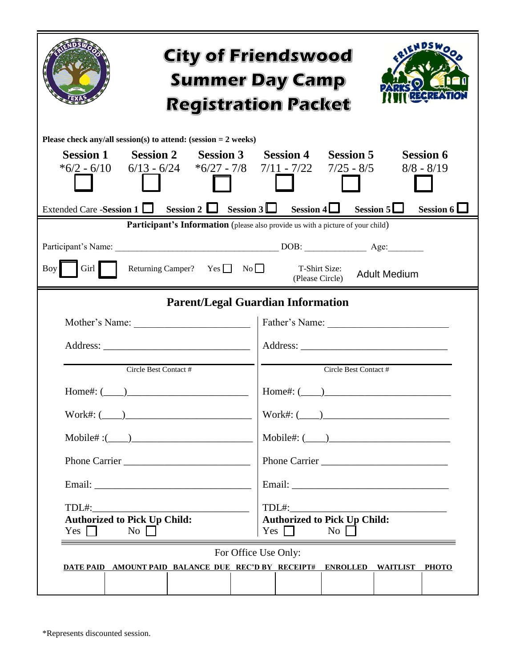| <b>City of Friendswood</b><br><b>Summer Day Camp</b><br><b>Registration Packet</b>                                                                                                                                                                                                                                                              |                                                                                                                                                                                    |  |  |
|-------------------------------------------------------------------------------------------------------------------------------------------------------------------------------------------------------------------------------------------------------------------------------------------------------------------------------------------------|------------------------------------------------------------------------------------------------------------------------------------------------------------------------------------|--|--|
| Please check any/all session(s) to attend: (session $= 2$ weeks)<br>Session 1 Session 2 Session 3 Session 4 Session 5<br><b>Session 6</b><br>$*6/2 - 6/10$ 6/13 - 6/24 $*6/27 - 7/8$ 7/11 - 7/22 7/25 - 8/5<br>$8/8 - 8/19$<br>Extended Care -Session 1 $\Box$ Session 2 $\Box$ Session 3 $\Box$ Session 4 $\Box$ Session 5 $\Box$<br>Session 6 |                                                                                                                                                                                    |  |  |
| Participant's Information (please also provide us with a picture of your child)<br>Boy<br>Girl  <br>Returning Camper? Yes $\Box$ No $\Box$<br>T-Shirt Size:<br><b>Adult Medium</b><br>(Please Circle)                                                                                                                                           |                                                                                                                                                                                    |  |  |
| Circle Best Contact #                                                                                                                                                                                                                                                                                                                           | <b>Parent/Legal Guardian Information</b><br>Mother's Name: <u>Contract of Table Pather's Name:</u> Father's Name: <u>Contract of Table Pather's Name:</u><br>Circle Best Contact # |  |  |
| $Home$ #: $(\_\_)$<br>$Work\#: ($<br>Phone Carrier<br>TDL#:<br><b>Authorized to Pick Up Child:</b><br>Yes $\Box$<br>$\overline{N_0}$                                                                                                                                                                                                            | $Home\#: (\_\_)$<br>$Work\#: ($<br>$\text{Mobile}\#: (\_\_\_\_\_\_\_\_\_\_\$<br>Phone Carrier<br>$TDL#$ :<br><b>Authorized to Pick Up Child:</b><br>Yes $\Box$<br>$\overline{N_0}$ |  |  |
| For Office Use Only:<br>DATE PAID AMOUNT PAID BALANCE DUE REC'D BY RECEIPT# ENROLLED WAITLIST PHOTO                                                                                                                                                                                                                                             |                                                                                                                                                                                    |  |  |